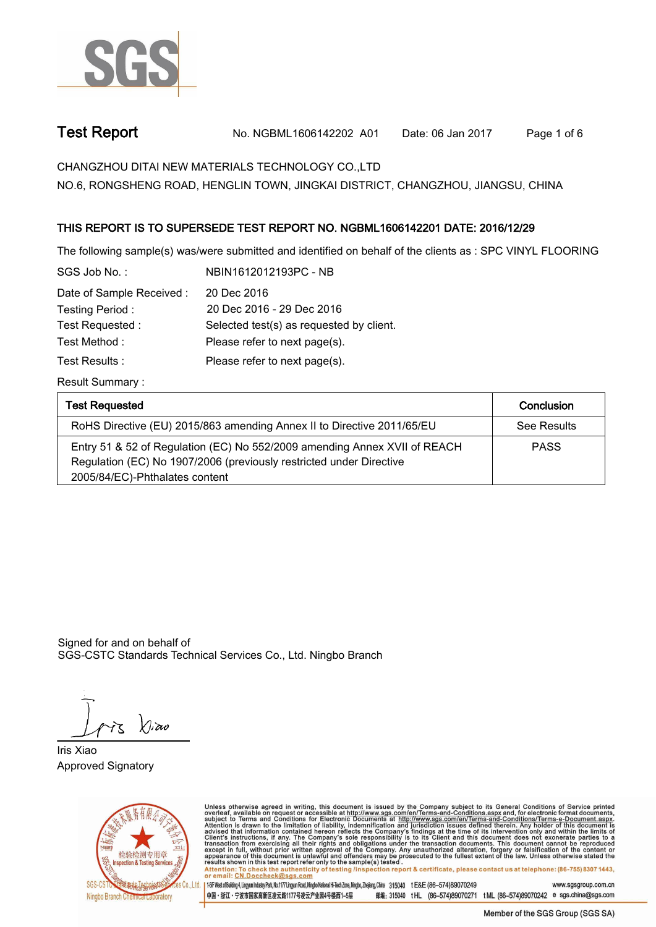

**Test Report. No. NGBML1606142202 A01 Date: 06 Jan 2017. Page 1 of 6.**

**CHANGZHOU DITAI NEW MATERIALS TECHNOLOGY CO.,LTD.**

**NO.6, RONGSHENG ROAD, HENGLIN TOWN, JINGKAI DISTRICT, CHANGZHOU, JIANGSU, CHINA**

### **.THIS REPORT IS TO SUPERSEDE TEST REPORT NO. NGBML1606142201 DATE: 2016/12/29.**

**The following sample(s) was/were submitted and identified on behalf of the clients as : SPC VINYL FLOORING.**

| SGS Job No.:              | NBIN1612012193PC - NB                    |
|---------------------------|------------------------------------------|
| Date of Sample Received : | 20 Dec 2016                              |
| Testing Period:           | 20 Dec 2016 - 29 Dec 2016                |
| Test Requested:           | Selected test(s) as requested by client. |
| Test Method :             | Please refer to next page(s).            |
| Test Results :            | Please refer to next page(s).            |
|                           |                                          |

**Result Summary :.**

| <b>Test Requested</b>                                                                                                                                                              | Conclusion  |
|------------------------------------------------------------------------------------------------------------------------------------------------------------------------------------|-------------|
| RoHS Directive (EU) 2015/863 amending Annex II to Directive 2011/65/EU                                                                                                             | See Results |
| Entry 51 & 52 of Regulation (EC) No 552/2009 amending Annex XVII of REACH<br>Regulation (EC) No 1907/2006 (previously restricted under Directive<br>2005/84/EC)-Phthalates content | <b>PASS</b> |

Signed for and on behalf of SGS-CSTC Standards Technical Services Co., Ltd. Ningbo Branch.

Xivao

**Iris Xiao. Approved Signatory. . .**



Unless otherwise agreed in writing, this document is issued by the Company subject to its General Conditions of Service printed<br>overleaf, available on request or accessible at http://www.sgs.com/en/Terms-and-Conditions.asp Attention: To check the authenticity of testing linspection report & certificate, please contact us at telephone: (86-755) 8307 1443, or email: CN.Doccheck@sgs.com

| 1-5F West of Building 4, Lingum Industry Park, No.1177 Lingum Road, Ningbo National Hi-Tech Zone, Ningbo, Zhejiang, China 315040 tE&E (86-574)89070249 www.sasaroup.com.cn 中国・浙江・宁波市国家高新区凌云路1177号凌云产业园4号楼西1-5层 邮编: 315040 tHL (86-574)89070271 tML (86-574)89070242 e sgs.china@sgs.com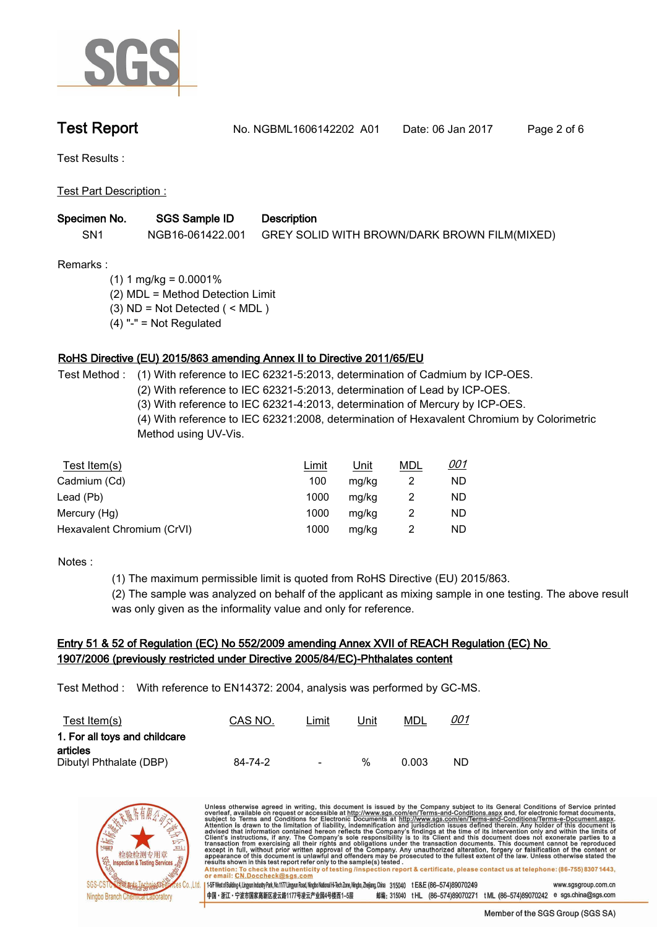

**Test Report. No. NGBML1606142202 A01 Date: 06 Jan 2017. Page 2 of 6.**

**Test Results :.**

**Test Part Description :.**

| Specimen No. | <b>SGS Sample ID</b> | <b>Description</b>                           |
|--------------|----------------------|----------------------------------------------|
| SN1          | NGB16-061422.001     | GREY SOLID WITH BROWN/DARK BROWN FILM(MIXED) |

**Remarks :**

- **(1) 1 mg/kg = 0.0001%**
- **(2) MDL = Method Detection Limit**
- **(3) ND = Not Detected ( < MDL )**
- **(4) "-" = Not Regulated**

### **RoHS Directive (EU) 2015/863 amending Annex II to Directive 2011/65/EU.**

**Test Method :. (1) With reference to IEC 62321-5:2013, determination of Cadmium by ICP-OES.** 

**(2) With reference to IEC 62321-5:2013, determination of Lead by ICP-OES.**

**(3) With reference to IEC 62321-4:2013, determination of Mercury by ICP-OES.**

**(4) With reference to IEC 62321:2008, determination of Hexavalent Chromium by Colorimetric Method using UV-Vis..**

| Test Item(s)               | <u>Limit</u> | <u>Unit</u> | MDL | <u>001</u> |
|----------------------------|--------------|-------------|-----|------------|
| Cadmium (Cd)               | 100          | mg/kg       |     | ND         |
| Lead (Pb)                  | 1000         | mg/kg       |     | ND         |
| Mercury (Hg)               | 1000         | mg/kg       |     | ND         |
| Hexavalent Chromium (CrVI) | 1000         | mg/kg       |     | ND         |

**Notes :.**

**(1) The maximum permissible limit is quoted from RoHS Directive (EU) 2015/863.**

**(2) The sample was analyzed on behalf of the applicant as mixing sample in one testing. The above result was only given as the informality value and only for reference..**

# **Entry 51 & 52 of Regulation (EC) No 552/2009 amending Annex XVII of REACH Regulation (EC) No 1907/2006 (previously restricted under Directive 2005/84/EC)-Phthalates content.**

**Test Method :. With reference to EN14372: 2004, analysis was performed by GC-MS..**

| <u>Test Item(s)</u>           | CAS NO. | ∟imit                    | Unit | MDL   | <u>001</u> |
|-------------------------------|---------|--------------------------|------|-------|------------|
| 1. For all toys and childcare |         |                          |      |       |            |
| articles                      |         |                          |      |       |            |
| Dibutyl Phthalate (DBP)       | 84-74-2 | $\overline{\phantom{a}}$ | %    | 0.003 | ND.        |

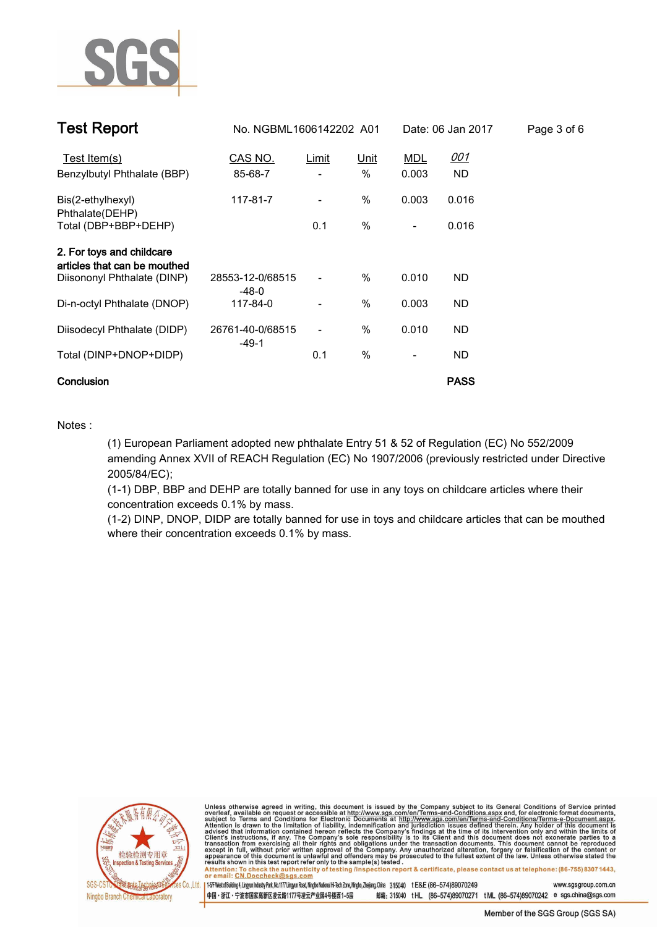

| <b>Test Report</b>                                        |                             |                          |             | No. NGBML1606142202 A01<br>Date: 06 Jan 2017 |             |  |  | Page 3 of 6 |
|-----------------------------------------------------------|-----------------------------|--------------------------|-------------|----------------------------------------------|-------------|--|--|-------------|
| Test Item(s)                                              | CAS NO.                     | <u>Limit</u>             | <u>Unit</u> | <b>MDL</b>                                   | <u>001</u>  |  |  |             |
| Benzylbutyl Phthalate (BBP)                               | 85-68-7                     |                          | %           | 0.003                                        | ND          |  |  |             |
| Bis(2-ethylhexyl)<br>Phthalate(DEHP)                      | 117-81-7                    | $\overline{\phantom{0}}$ | %           | 0.003                                        | 0.016       |  |  |             |
| Total (DBP+BBP+DEHP)                                      |                             | 0.1                      | %           | $\overline{\phantom{a}}$                     | 0.016       |  |  |             |
| 2. For toys and childcare<br>articles that can be mouthed |                             |                          |             |                                              |             |  |  |             |
| Diisononyl Phthalate (DINP)                               | 28553-12-0/68515<br>$-48-0$ |                          | $\%$        | 0.010                                        | ND.         |  |  |             |
| Di-n-octyl Phthalate (DNOP)                               | 117-84-0                    |                          | %           | 0.003                                        | ND.         |  |  |             |
| Diisodecyl Phthalate (DIDP)                               | 26761-40-0/68515<br>$-49-1$ | $\overline{\phantom{0}}$ | %           | 0.010                                        | ND.         |  |  |             |
| Total (DINP+DNOP+DIDP)                                    |                             | 0.1                      | %           | $\overline{\phantom{a}}$                     | ND          |  |  |             |
| Conclusion                                                |                             |                          |             |                                              | <b>PASS</b> |  |  |             |

### **Notes :.**

**(1) European Parliament adopted new phthalate Entry 51 & 52 of Regulation (EC) No 552/2009 amending Annex XVII of REACH Regulation (EC) No 1907/2006 (previously restricted under Directive 2005/84/EC);**

**(1-1) DBP, BBP and DEHP are totally banned for use in any toys on childcare articles where their concentration exceeds 0.1% by mass.**

**(1-2) DINP, DNOP, DIDP are totally banned for use in toys and childcare articles that can be mouthed where their concentration exceeds 0.1% by mass..**



Unless otherwise agreed in writing, this document is issued by the Company subject to its General Conditions of Service printed<br>overleaf, available on request or accessible at http://www.sgs.com/en/Terms-and-Conditions.asp Attention: To check the authenticity of testing /inspection report & certificate, please contact us at telephone: (86-755) 8307 1443,

or email: CN.Doccheck@sgs.com 145F West of Building 4, Lingyun Industry Park, No.1177 Lingyun Road, Ningbo National Hi-Tech Zone, Ningbo, Zhejiang, China 315040 t E&E (86-574)89070249 www.sasgroup.com.cn

中国·浙江·宁波市国家高新区凌云路1177号凌云产业园4号楼西1-5层 邮编: 315040 tHL (86-574)89070271 tML (86-574)89070242 e sgs.china@sgs.com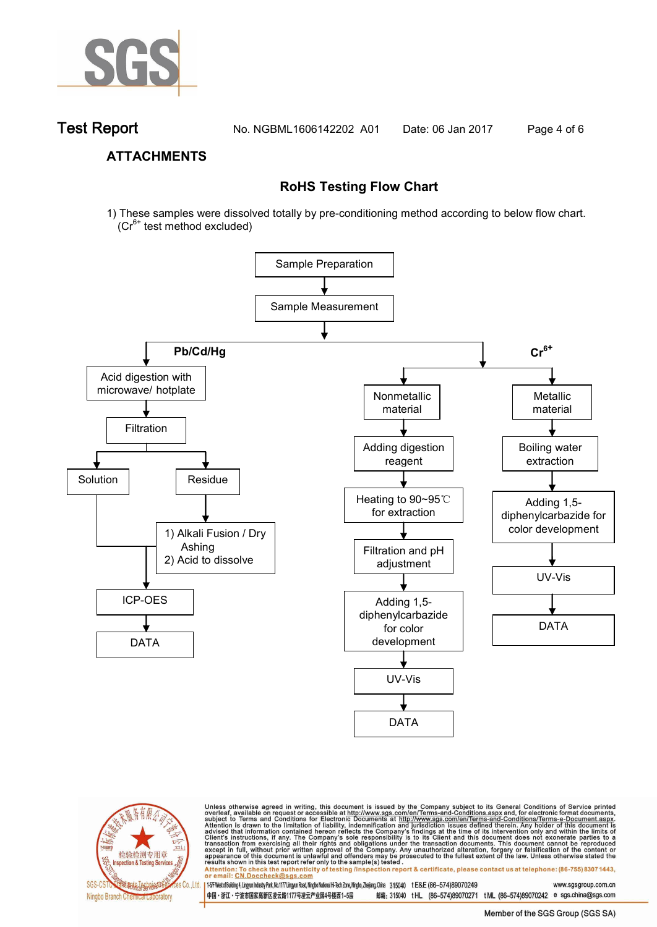

**Test Report. No. NGBML1606142202 A01 Date: 06 Jan 2017. Page 4 of 6.**

### **ATTACHMENTS**

## **RoHS Testing Flow Chart**

1) These samples were dissolved totally by pre-conditioning method according to below flow chart.  $(Cr^{6+}$  test method excluded)





Unless otherwise agreed in writing, this document is issued by the Company subject to its General Conditions of Service printed overleaf, available on request or accessible at http://www.sgs.com/en/Terms-and-Conditions.as

Attention: To check the authenticity of testing linspection report & certificate, please contact us at telephone: (86-755) 8307 1443, or email: CN.Doccheck@sgs.com 145F West of Building 4, Lingyun Industry Park, No.1177 Lingyun Road, Ningbo National Hi-Tech Zone, Ningbo, Zhejiang, China 315040 tE&E (86-574)89070249 www.sasgroup.com.cn

中国·浙江·宁波市国家高新区凌云路1177号凌云产业园4号楼西1-5层 邮编: 315040 tHL (86-574)89070271 tML (86-574)89070242 e sgs.china@sgs.com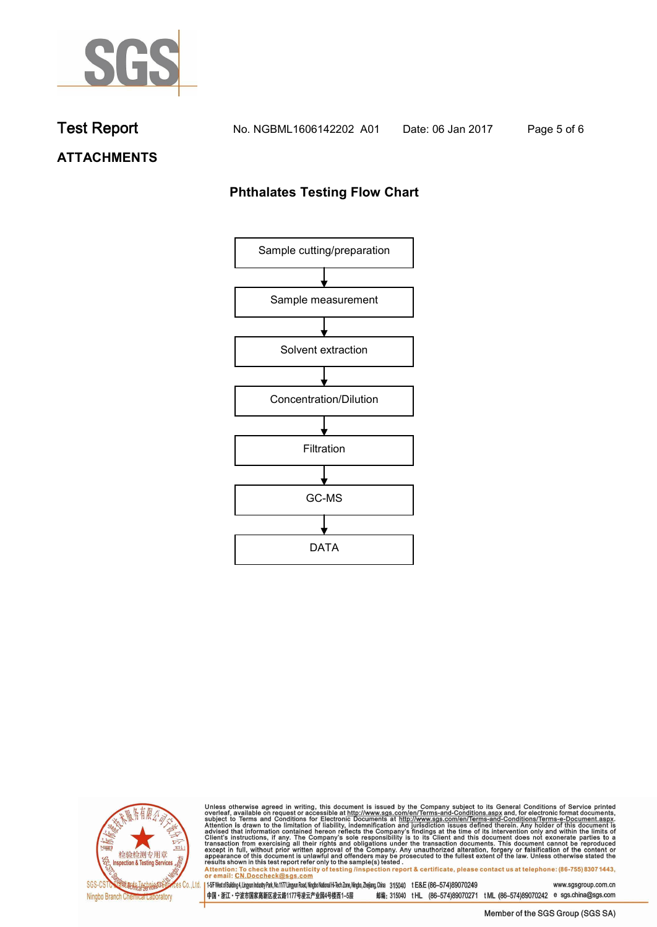

# **ATTACHMENTS**

# **Phthalates Testing Flow Chart**





Unless otherwise agreed in writing, this document is issued by the Company subject to its General Conditions of Service printed overleaf, available on request or accessible at http://www.sgs.com/en/Terms-and-Conditions.as

Attention: To check the authenticity of testing linspection report & certificate, please contact us at telephone: (86-755) 8307 1443, or email: CN.Doccheck@sgs.com 145F West of Building 4, Lingyun Industry Park, No. 1177 Lingyun Road, Ningbo National Hi-Tech Zone, Ningbo, Zhejiang, China 315040 t E&E (86-574)89070249 www.sgsgroup.com.cn

中国・浙江・宁波市国家高新区凌云路1177号凌云产业园4号楼西1-5层 邮编: 315040 tHL (86-574)89070271 tML (86-574)89070242 e sgs.china@sgs.com